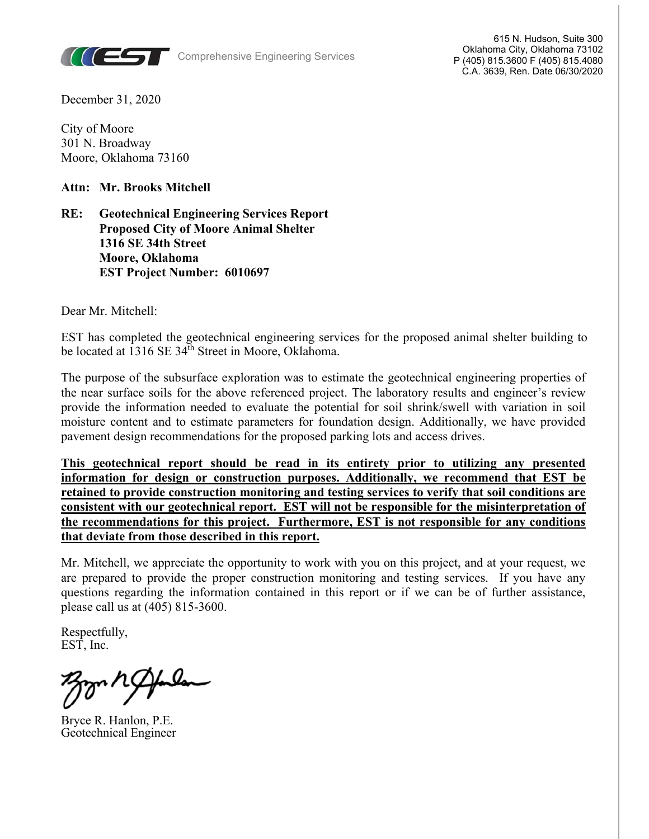

Comprehensive Engineering Services

615 N. Hudson, Suite 300 Oklahoma City, Oklahoma 73102 P (405) 815.3600 F (405) 815.4080 C.A. 3639, Ren. Date 06/30/2020

December 31, 2020

City of Moore 301 N. Broadway Moore, Oklahoma 73160

**Attn: Mr. Brooks Mitchell** 

#### **RE: Geotechnical Engineering Services Report Proposed City of Moore Animal Shelter 1316 SE 34th Street Moore, Oklahoma EST Project Number: 6010697**

Dear Mr. Mitchell:

EST has completed the geotechnical engineering services for the proposed animal shelter building to be located at 1316 SE 34<sup>th</sup> Street in Moore, Oklahoma.

The purpose of the subsurface exploration was to estimate the geotechnical engineering properties of the near surface soils for the above referenced project. The laboratory results and engineer's review provide the information needed to evaluate the potential for soil shrink/swell with variation in soil moisture content and to estimate parameters for foundation design. Additionally, we have provided pavement design recommendations for the proposed parking lots and access drives.

**This geotechnical report should be read in its entirety prior to utilizing any presented information for design or construction purposes. Additionally, we recommend that EST be retained to provide construction monitoring and testing services to verify that soil conditions are consistent with our geotechnical report. EST will not be responsible for the misinterpretation of the recommendations for this project. Furthermore, EST is not responsible for any conditions that deviate from those described in this report.**

Mr. Mitchell, we appreciate the opportunity to work with you on this project, and at your request, we are prepared to provide the proper construction monitoring and testing services. If you have any questions regarding the information contained in this report or if we can be of further assistance, please call us at (405) 815-3600.

Respectfully, EST, Inc.

ľ

Bryce R. Hanlon, P.E. Geotechnical Engineer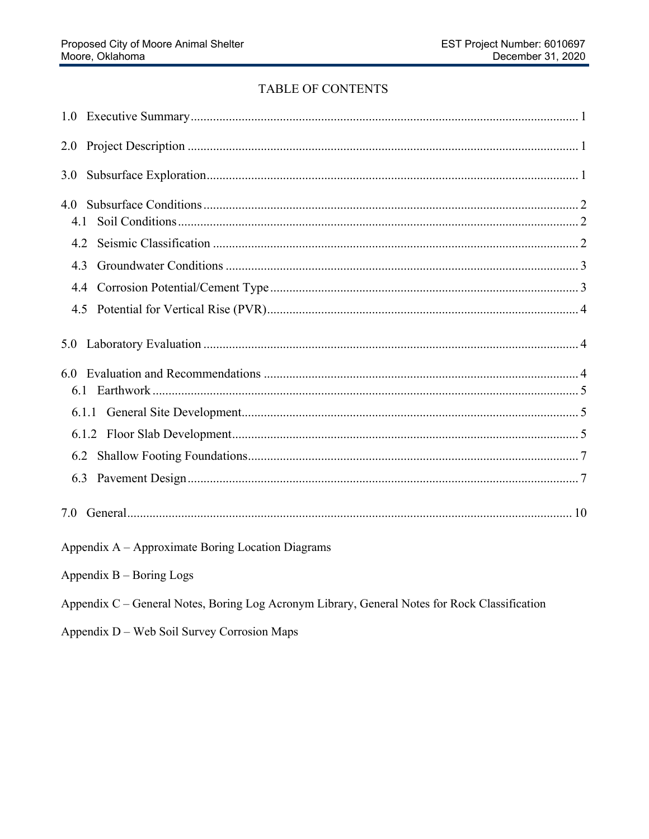## TABLE OF CONTENTS

| 2.0                                                                                           |
|-----------------------------------------------------------------------------------------------|
| 3.0                                                                                           |
| 4.0                                                                                           |
| 4.2                                                                                           |
| 4.3                                                                                           |
| 4.4                                                                                           |
|                                                                                               |
| 5.0                                                                                           |
|                                                                                               |
|                                                                                               |
|                                                                                               |
|                                                                                               |
|                                                                                               |
|                                                                                               |
| Appendix A - Approximate Boring Location Diagrams                                             |
| Appendix $B - Boring$ Logs                                                                    |
| Appendix C - General Notes, Boring Log Acronym Library, General Notes for Rock Classification |
|                                                                                               |

Appendix D - Web Soil Survey Corrosion Maps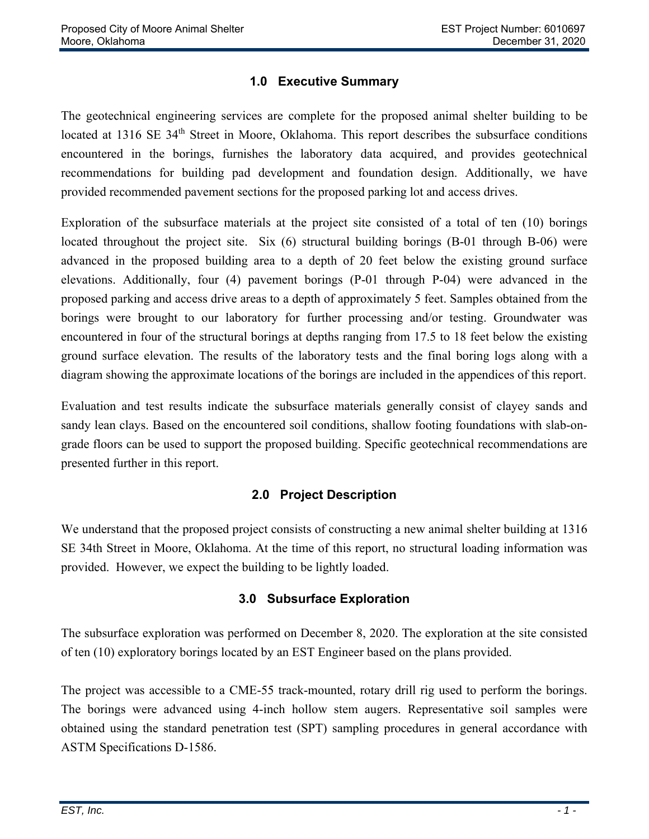## **1.0 Executive Summary**

The geotechnical engineering services are complete for the proposed animal shelter building to be located at 1316 SE 34<sup>th</sup> Street in Moore, Oklahoma. This report describes the subsurface conditions encountered in the borings, furnishes the laboratory data acquired, and provides geotechnical recommendations for building pad development and foundation design. Additionally, we have provided recommended pavement sections for the proposed parking lot and access drives.

Exploration of the subsurface materials at the project site consisted of a total of ten (10) borings located throughout the project site. Six (6) structural building borings (B-01 through B-06) were advanced in the proposed building area to a depth of 20 feet below the existing ground surface elevations. Additionally, four (4) pavement borings (P-01 through P-04) were advanced in the proposed parking and access drive areas to a depth of approximately 5 feet. Samples obtained from the borings were brought to our laboratory for further processing and/or testing. Groundwater was encountered in four of the structural borings at depths ranging from 17.5 to 18 feet below the existing ground surface elevation. The results of the laboratory tests and the final boring logs along with a diagram showing the approximate locations of the borings are included in the appendices of this report.

Evaluation and test results indicate the subsurface materials generally consist of clayey sands and sandy lean clays. Based on the encountered soil conditions, shallow footing foundations with slab-ongrade floors can be used to support the proposed building. Specific geotechnical recommendations are presented further in this report.

## **2.0 Project Description**

We understand that the proposed project consists of constructing a new animal shelter building at 1316 SE 34th Street in Moore, Oklahoma. At the time of this report, no structural loading information was provided. However, we expect the building to be lightly loaded.

#### **3.0 Subsurface Exploration**

The subsurface exploration was performed on December 8, 2020. The exploration at the site consisted of ten (10) exploratory borings located by an EST Engineer based on the plans provided.

The project was accessible to a CME-55 track-mounted, rotary drill rig used to perform the borings. The borings were advanced using 4-inch hollow stem augers. Representative soil samples were obtained using the standard penetration test (SPT) sampling procedures in general accordance with ASTM Specifications D-1586.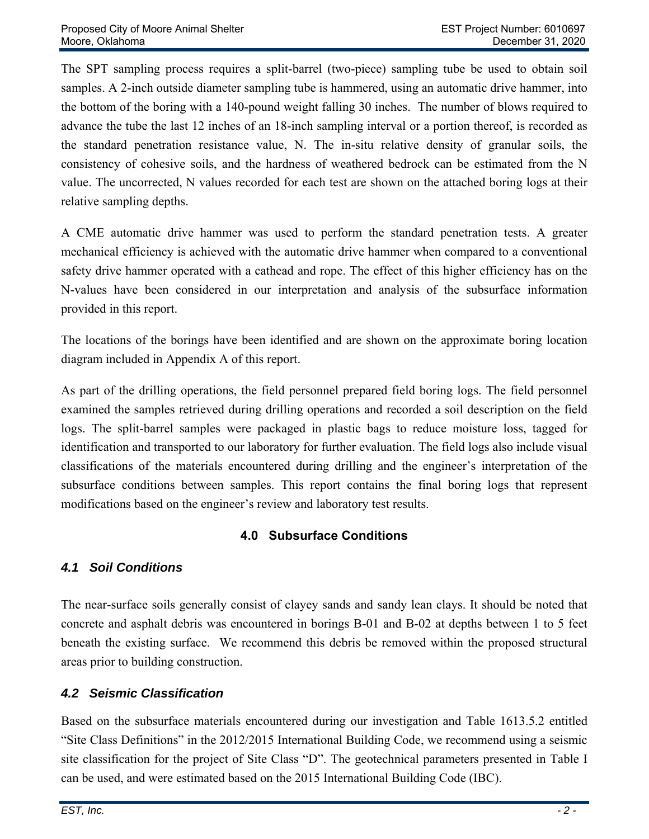The SPT sampling process requires a split-barrel (two-piece) sampling tube be used to obtain soil samples. A 2-inch outside diameter sampling tube is hammered, using an automatic drive hammer, into the bottom of the boring with a 140-pound weight falling 30 inches. The number of blows required to advance the tube the last 12 inches of an 18-inch sampling interval or a portion thereof, is recorded as the standard penetration resistance value, N. The in-situ relative density of granular soils, the consistency of cohesive soils, and the hardness of weathered bedrock can be estimated from the N value. The uncorrected, N values recorded for each test are shown on the attached boring logs at their relative sampling depths.

A CME automatic drive hammer was used to perform the standard penetration tests. A greater mechanical efficiency is achieved with the automatic drive hammer when compared to a conventional safety drive hammer operated with a cathead and rope. The effect of this higher efficiency has on the N-values have been considered in our interpretation and analysis of the subsurface information provided in this report.

The locations of the borings have been identified and are shown on the approximate boring location diagram included in Appendix A of this report.

As part of the drilling operations, the field personnel prepared field boring logs. The field personnel examined the samples retrieved during drilling operations and recorded a soil description on the field logs. The split-barrel samples were packaged in plastic bags to reduce moisture loss, tagged for identification and transported to our laboratory for further evaluation. The field logs also include visual classifications of the materials encountered during drilling and the engineer's interpretation of the subsurface conditions between samples. This report contains the final boring logs that represent modifications based on the engineer's review and laboratory test results.

# **4.0 Subsurface Conditions**

# *4.1 Soil Conditions*

The near-surface soils generally consist of clayey sands and sandy lean clays. It should be noted that concrete and asphalt debris was encountered in borings B-01 and B-02 at depths between 1 to 5 feet beneath the existing surface. We recommend this debris be removed within the proposed structural areas prior to building construction.

# *4.2 Seismic Classification*

Based on the subsurface materials encountered during our investigation and Table 1613.5.2 entitled "Site Class Definitions" in the 2012/2015 International Building Code, we recommend using a seismic site classification for the project of Site Class "D". The geotechnical parameters presented in Table I can be used, and were estimated based on the 2015 International Building Code (IBC).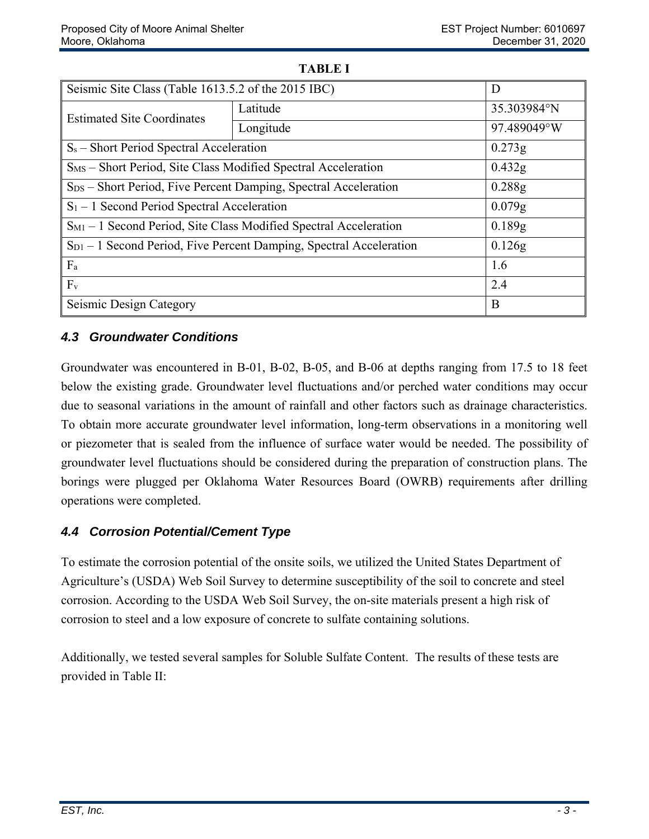| Seismic Site Class (Table 1613.5.2 of the 2015 IBC)                          |           | D           |  |  |  |
|------------------------------------------------------------------------------|-----------|-------------|--|--|--|
| <b>Estimated Site Coordinates</b>                                            | Latitude  | 35.303984°N |  |  |  |
|                                                                              | Longitude | 97.489049°W |  |  |  |
| $S_s$ – Short Period Spectral Acceleration                                   | 0.273g    |             |  |  |  |
| S <sub>MS</sub> - Short Period, Site Class Modified Spectral Acceleration    |           | 0.432g      |  |  |  |
| S <sub>DS</sub> – Short Period, Five Percent Damping, Spectral Acceleration  | 0.288g    |             |  |  |  |
| $S_1 - 1$ Second Period Spectral Acceleration                                | $0.079$ g |             |  |  |  |
| S <sub>M1</sub> - 1 Second Period, Site Class Modified Spectral Acceleration | 0.189g    |             |  |  |  |
| $S_{D1}$ – 1 Second Period, Five Percent Damping, Spectral Acceleration      |           | 0.126g      |  |  |  |
| $F_a$                                                                        |           | 1.6         |  |  |  |
| $F_v$                                                                        |           | 2.4         |  |  |  |
| Seismic Design Category                                                      | B         |             |  |  |  |

#### **TABLE I**

### *4.3 Groundwater Conditions*

Groundwater was encountered in B-01, B-02, B-05, and B-06 at depths ranging from 17.5 to 18 feet below the existing grade. Groundwater level fluctuations and/or perched water conditions may occur due to seasonal variations in the amount of rainfall and other factors such as drainage characteristics. To obtain more accurate groundwater level information, long-term observations in a monitoring well or piezometer that is sealed from the influence of surface water would be needed. The possibility of groundwater level fluctuations should be considered during the preparation of construction plans. The borings were plugged per Oklahoma Water Resources Board (OWRB) requirements after drilling operations were completed.

## *4.4 Corrosion Potential/Cement Type*

To estimate the corrosion potential of the onsite soils, we utilized the United States Department of Agriculture's (USDA) Web Soil Survey to determine susceptibility of the soil to concrete and steel corrosion. According to the USDA Web Soil Survey, the on-site materials present a high risk of corrosion to steel and a low exposure of concrete to sulfate containing solutions.

Additionally, we tested several samples for Soluble Sulfate Content. The results of these tests are provided in Table II: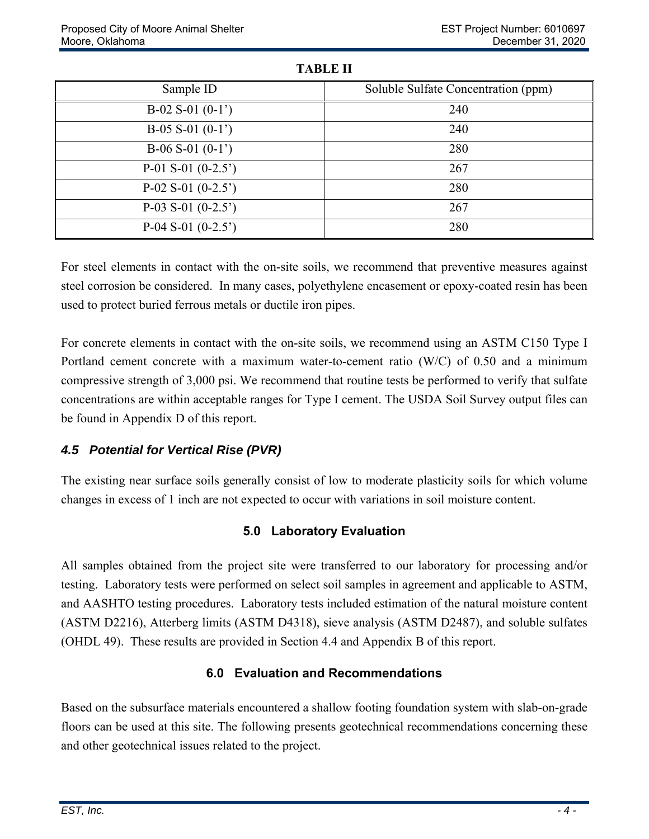| Sample ID           | Soluble Sulfate Concentration (ppm) |
|---------------------|-------------------------------------|
| $B-02 S-01 (0-1)$   | 240                                 |
| $B-05 S-01 (0-1)$   | 240                                 |
| $B-06 S-01 (0-1)$   | 280                                 |
| $P-01 S-01 (0-2.5)$ | 267                                 |
| $P-02 S-01 (0-2.5)$ | 280                                 |
| $P-03 S-01 (0-2.5)$ | 267                                 |
| P-04 S-01 $(0-2.5)$ | 280                                 |

**TABLE II** 

For steel elements in contact with the on-site soils, we recommend that preventive measures against steel corrosion be considered. In many cases, polyethylene encasement or epoxy-coated resin has been used to protect buried ferrous metals or ductile iron pipes.

For concrete elements in contact with the on-site soils, we recommend using an ASTM C150 Type I Portland cement concrete with a maximum water-to-cement ratio (W/C) of 0.50 and a minimum compressive strength of 3,000 psi. We recommend that routine tests be performed to verify that sulfate concentrations are within acceptable ranges for Type I cement. The USDA Soil Survey output files can be found in Appendix D of this report.

## *4.5 Potential for Vertical Rise (PVR)*

The existing near surface soils generally consist of low to moderate plasticity soils for which volume changes in excess of 1 inch are not expected to occur with variations in soil moisture content.

# **5.0 Laboratory Evaluation**

All samples obtained from the project site were transferred to our laboratory for processing and/or testing. Laboratory tests were performed on select soil samples in agreement and applicable to ASTM, and AASHTO testing procedures. Laboratory tests included estimation of the natural moisture content (ASTM D2216), Atterberg limits (ASTM D4318), sieve analysis (ASTM D2487), and soluble sulfates (OHDL 49). These results are provided in Section 4.4 and Appendix B of this report.

# **6.0 Evaluation and Recommendations**

Based on the subsurface materials encountered a shallow footing foundation system with slab-on-grade floors can be used at this site. The following presents geotechnical recommendations concerning these and other geotechnical issues related to the project.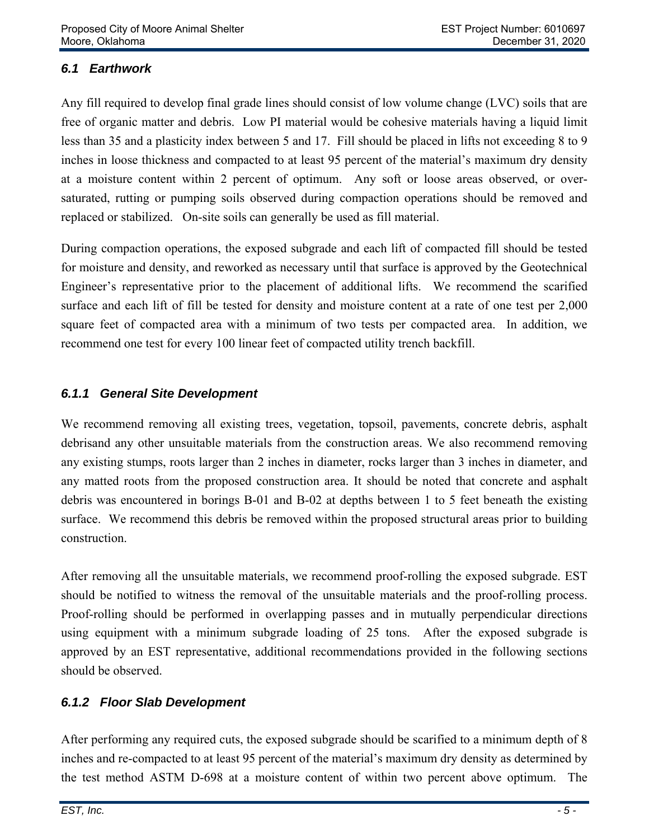## *6.1 Earthwork*

Any fill required to develop final grade lines should consist of low volume change (LVC) soils that are free of organic matter and debris. Low PI material would be cohesive materials having a liquid limit less than 35 and a plasticity index between 5 and 17. Fill should be placed in lifts not exceeding 8 to 9 inches in loose thickness and compacted to at least 95 percent of the material's maximum dry density at a moisture content within 2 percent of optimum. Any soft or loose areas observed, or oversaturated, rutting or pumping soils observed during compaction operations should be removed and replaced or stabilized. On-site soils can generally be used as fill material.

During compaction operations, the exposed subgrade and each lift of compacted fill should be tested for moisture and density, and reworked as necessary until that surface is approved by the Geotechnical Engineer's representative prior to the placement of additional lifts. We recommend the scarified surface and each lift of fill be tested for density and moisture content at a rate of one test per 2,000 square feet of compacted area with a minimum of two tests per compacted area. In addition, we recommend one test for every 100 linear feet of compacted utility trench backfill.

#### *6.1.1 General Site Development*

We recommend removing all existing trees, vegetation, topsoil, pavements, concrete debris, asphalt debrisand any other unsuitable materials from the construction areas. We also recommend removing any existing stumps, roots larger than 2 inches in diameter, rocks larger than 3 inches in diameter, and any matted roots from the proposed construction area. It should be noted that concrete and asphalt debris was encountered in borings B-01 and B-02 at depths between 1 to 5 feet beneath the existing surface. We recommend this debris be removed within the proposed structural areas prior to building construction.

After removing all the unsuitable materials, we recommend proof-rolling the exposed subgrade. EST should be notified to witness the removal of the unsuitable materials and the proof-rolling process. Proof-rolling should be performed in overlapping passes and in mutually perpendicular directions using equipment with a minimum subgrade loading of 25 tons. After the exposed subgrade is approved by an EST representative, additional recommendations provided in the following sections should be observed.

## *6.1.2 Floor Slab Development*

After performing any required cuts, the exposed subgrade should be scarified to a minimum depth of 8 inches and re-compacted to at least 95 percent of the material's maximum dry density as determined by the test method ASTM D-698 at a moisture content of within two percent above optimum. The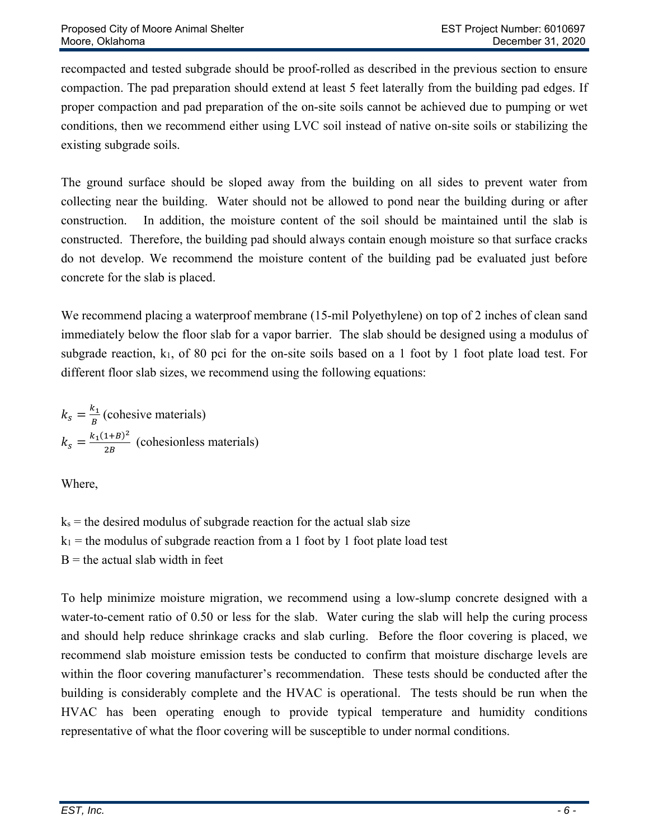recompacted and tested subgrade should be proof-rolled as described in the previous section to ensure compaction. The pad preparation should extend at least 5 feet laterally from the building pad edges. If proper compaction and pad preparation of the on-site soils cannot be achieved due to pumping or wet conditions, then we recommend either using LVC soil instead of native on-site soils or stabilizing the existing subgrade soils.

The ground surface should be sloped away from the building on all sides to prevent water from collecting near the building. Water should not be allowed to pond near the building during or after construction. In addition, the moisture content of the soil should be maintained until the slab is constructed. Therefore, the building pad should always contain enough moisture so that surface cracks do not develop. We recommend the moisture content of the building pad be evaluated just before concrete for the slab is placed.

We recommend placing a waterproof membrane (15-mil Polyethylene) on top of 2 inches of clean sand immediately below the floor slab for a vapor barrier. The slab should be designed using a modulus of subgrade reaction,  $k_1$ , of 80 pci for the on-site soils based on a 1 foot by 1 foot plate load test. For different floor slab sizes, we recommend using the following equations:

 $k_s = \frac{k_1}{B}$  (cohesive materials)  $k_s = \frac{k_1(1+B)^2}{2B}$  (cohesionless materials)

Where,

 $k_s$  = the desired modulus of subgrade reaction for the actual slab size  $k_1$  = the modulus of subgrade reaction from a 1 foot by 1 foot plate load test  $B =$  the actual slab width in feet

To help minimize moisture migration, we recommend using a low-slump concrete designed with a water-to-cement ratio of 0.50 or less for the slab. Water curing the slab will help the curing process and should help reduce shrinkage cracks and slab curling. Before the floor covering is placed, we recommend slab moisture emission tests be conducted to confirm that moisture discharge levels are within the floor covering manufacturer's recommendation. These tests should be conducted after the building is considerably complete and the HVAC is operational. The tests should be run when the HVAC has been operating enough to provide typical temperature and humidity conditions representative of what the floor covering will be susceptible to under normal conditions.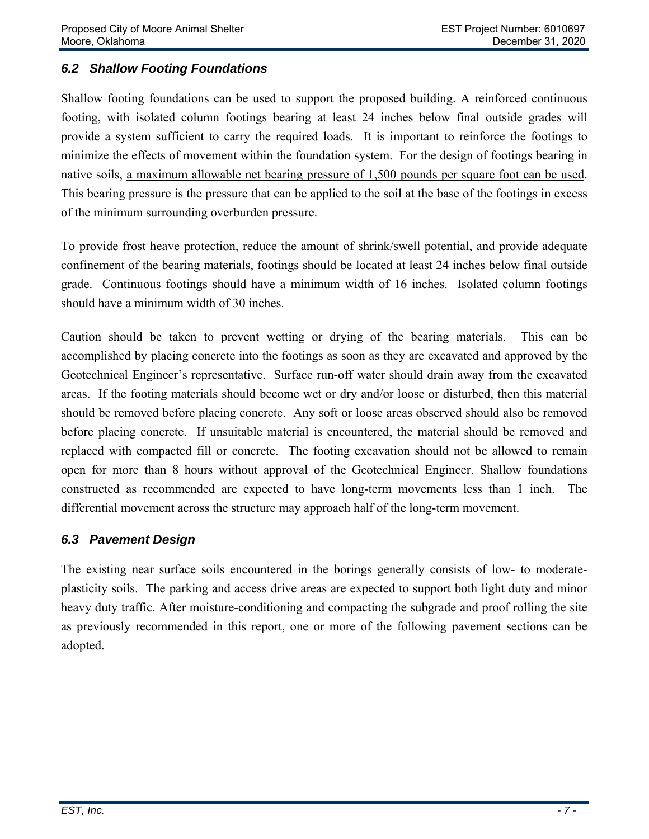## *6.2 Shallow Footing Foundations*

Shallow footing foundations can be used to support the proposed building. A reinforced continuous footing, with isolated column footings bearing at least 24 inches below final outside grades will provide a system sufficient to carry the required loads. It is important to reinforce the footings to minimize the effects of movement within the foundation system. For the design of footings bearing in native soils, a maximum allowable net bearing pressure of 1,500 pounds per square foot can be used. This bearing pressure is the pressure that can be applied to the soil at the base of the footings in excess of the minimum surrounding overburden pressure.

To provide frost heave protection, reduce the amount of shrink/swell potential, and provide adequate confinement of the bearing materials, footings should be located at least 24 inches below final outside grade. Continuous footings should have a minimum width of 16 inches. Isolated column footings should have a minimum width of 30 inches.

Caution should be taken to prevent wetting or drying of the bearing materials. This can be accomplished by placing concrete into the footings as soon as they are excavated and approved by the Geotechnical Engineer's representative. Surface run-off water should drain away from the excavated areas. If the footing materials should become wet or dry and/or loose or disturbed, then this material should be removed before placing concrete. Any soft or loose areas observed should also be removed before placing concrete. If unsuitable material is encountered, the material should be removed and replaced with compacted fill or concrete. The footing excavation should not be allowed to remain open for more than 8 hours without approval of the Geotechnical Engineer. Shallow foundations constructed as recommended are expected to have long-term movements less than 1 inch. The differential movement across the structure may approach half of the long-term movement.

## *6.3 Pavement Design*

The existing near surface soils encountered in the borings generally consists of low- to moderateplasticity soils. The parking and access drive areas are expected to support both light duty and minor heavy duty traffic. After moisture-conditioning and compacting the subgrade and proof rolling the site as previously recommended in this report, one or more of the following pavement sections can be adopted.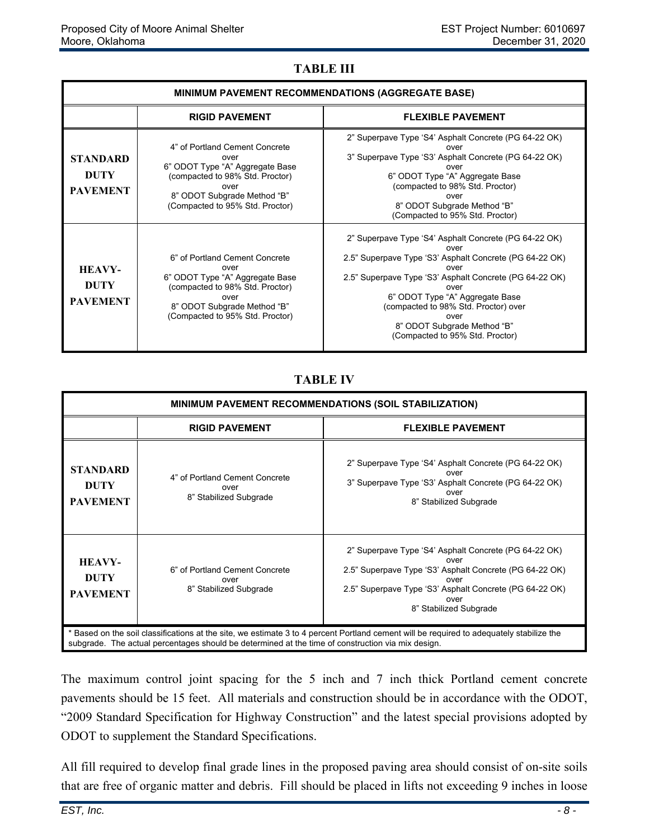#### **TABLE III**

| <b>MINIMUM PAVEMENT RECOMMENDATIONS (AGGREGATE BASE)</b> |                                                                                                                                                                                        |                                                                                                                                                                                                                                                                                                                                                          |  |  |
|----------------------------------------------------------|----------------------------------------------------------------------------------------------------------------------------------------------------------------------------------------|----------------------------------------------------------------------------------------------------------------------------------------------------------------------------------------------------------------------------------------------------------------------------------------------------------------------------------------------------------|--|--|
|                                                          | <b>RIGID PAVEMENT</b>                                                                                                                                                                  | <b>FLEXIBLE PAVEMENT</b>                                                                                                                                                                                                                                                                                                                                 |  |  |
| <b>STANDARD</b><br><b>DUTY</b><br><b>PAVEMENT</b>        | 4" of Portland Cement Concrete<br>over<br>6" ODOT Type "A" Aggregate Base<br>(compacted to 98% Std. Proctor)<br>over<br>8" ODOT Subgrade Method "B"<br>(Compacted to 95% Std. Proctor) | 2" Superpave Type 'S4' Asphalt Concrete (PG 64-22 OK)<br>over<br>3" Superpave Type 'S3' Asphalt Concrete (PG 64-22 OK)<br>over<br>6" ODOT Type "A" Aggregate Base<br>(compacted to 98% Std. Proctor)<br>over<br>8" ODOT Subgrade Method "B"<br>(Compacted to 95% Std. Proctor)                                                                           |  |  |
| <b>HEAVY-</b><br><b>DUTY</b><br><b>PAVEMENT</b>          | 6" of Portland Cement Concrete<br>over<br>6" ODOT Type "A" Aggregate Base<br>(compacted to 98% Std. Proctor)<br>over<br>8" ODOT Subgrade Method "B"<br>(Compacted to 95% Std. Proctor) | 2" Superpave Type 'S4' Asphalt Concrete (PG 64-22 OK)<br>over<br>2.5" Superpave Type 'S3' Asphalt Concrete (PG 64-22 OK)<br>over<br>2.5" Superpave Type 'S3' Asphalt Concrete (PG 64-22 OK)<br>over<br>6" ODOT Type "A" Aggregate Base<br>(compacted to 98% Std. Proctor) over<br>over<br>8" ODOT Subgrade Method "B"<br>(Compacted to 95% Std. Proctor) |  |  |

### **TABLE IV**

| <b>MINIMUM PAVEMENT RECOMMENDATIONS (SOIL STABILIZATION)</b>                                                                                                                                                                                |                                                                  |                                                                                                                                                                                                                               |  |  |
|---------------------------------------------------------------------------------------------------------------------------------------------------------------------------------------------------------------------------------------------|------------------------------------------------------------------|-------------------------------------------------------------------------------------------------------------------------------------------------------------------------------------------------------------------------------|--|--|
|                                                                                                                                                                                                                                             | <b>RIGID PAVEMENT</b>                                            | <b>FLEXIBLE PAVEMENT</b>                                                                                                                                                                                                      |  |  |
| <b>STANDARD</b><br><b>DUTY</b><br><b>PAVEMENT</b>                                                                                                                                                                                           | 4" of Portland Cement Concrete<br>over<br>8" Stabilized Subgrade | 2" Superpave Type 'S4' Asphalt Concrete (PG 64-22 OK)<br>over<br>3" Superpave Type 'S3' Asphalt Concrete (PG 64-22 OK)<br>over<br>8" Stabilized Subgrade                                                                      |  |  |
| <b>HEAVY-</b><br><b>DUTY</b><br><b>PAVEMENT</b>                                                                                                                                                                                             | 6" of Portland Cement Concrete<br>over<br>8" Stabilized Subgrade | 2" Superpave Type 'S4' Asphalt Concrete (PG 64-22 OK)<br>over<br>2.5" Superpave Type 'S3' Asphalt Concrete (PG 64-22 OK)<br>over<br>2.5" Superpave Type 'S3' Asphalt Concrete (PG 64-22 OK)<br>over<br>8" Stabilized Subgrade |  |  |
| Based on the soil classifications at the site, we estimate 3 to 4 percent Portland cement will be required to adequately stabilize the<br>subgrade. The actual percentages should be determined at the time of construction via mix design. |                                                                  |                                                                                                                                                                                                                               |  |  |

The maximum control joint spacing for the 5 inch and 7 inch thick Portland cement concrete pavements should be 15 feet. All materials and construction should be in accordance with the ODOT, "2009 Standard Specification for Highway Construction" and the latest special provisions adopted by ODOT to supplement the Standard Specifications.

All fill required to develop final grade lines in the proposed paving area should consist of on-site soils that are free of organic matter and debris. Fill should be placed in lifts not exceeding 9 inches in loose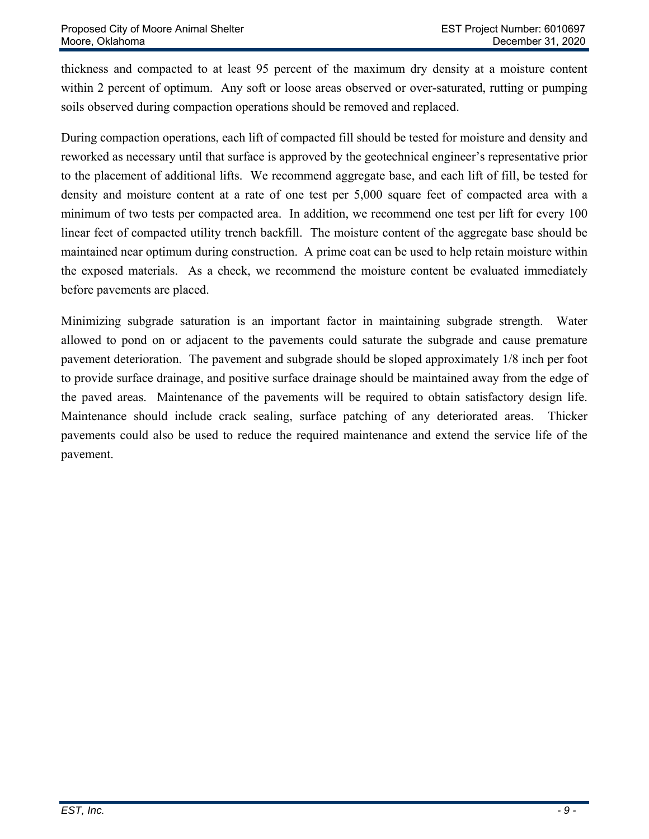thickness and compacted to at least 95 percent of the maximum dry density at a moisture content within 2 percent of optimum. Any soft or loose areas observed or over-saturated, rutting or pumping soils observed during compaction operations should be removed and replaced.

During compaction operations, each lift of compacted fill should be tested for moisture and density and reworked as necessary until that surface is approved by the geotechnical engineer's representative prior to the placement of additional lifts. We recommend aggregate base, and each lift of fill, be tested for density and moisture content at a rate of one test per 5,000 square feet of compacted area with a minimum of two tests per compacted area. In addition, we recommend one test per lift for every 100 linear feet of compacted utility trench backfill. The moisture content of the aggregate base should be maintained near optimum during construction. A prime coat can be used to help retain moisture within the exposed materials. As a check, we recommend the moisture content be evaluated immediately before pavements are placed.

Minimizing subgrade saturation is an important factor in maintaining subgrade strength. Water allowed to pond on or adjacent to the pavements could saturate the subgrade and cause premature pavement deterioration. The pavement and subgrade should be sloped approximately 1/8 inch per foot to provide surface drainage, and positive surface drainage should be maintained away from the edge of the paved areas. Maintenance of the pavements will be required to obtain satisfactory design life. Maintenance should include crack sealing, surface patching of any deteriorated areas. Thicker pavements could also be used to reduce the required maintenance and extend the service life of the pavement.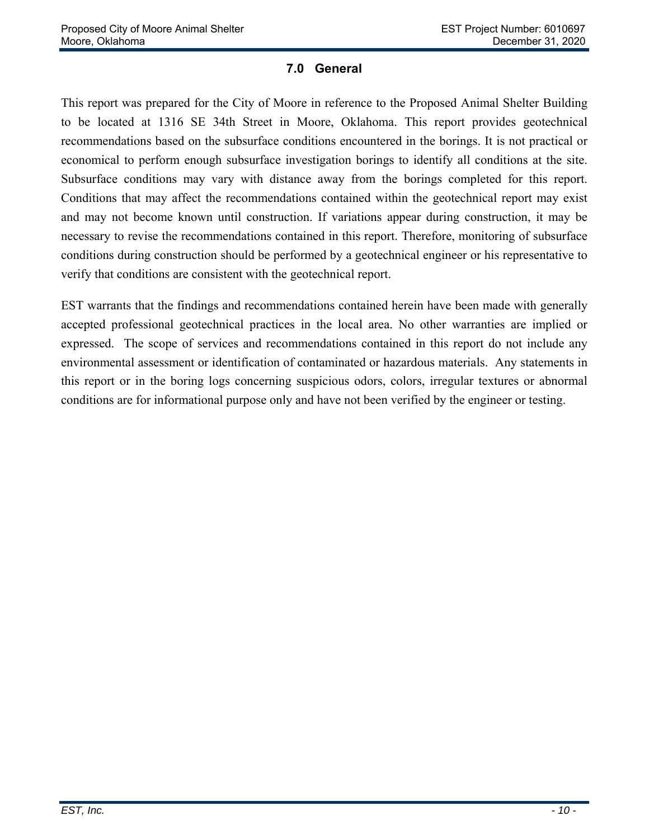### **7.0 General**

This report was prepared for the City of Moore in reference to the Proposed Animal Shelter Building to be located at 1316 SE 34th Street in Moore, Oklahoma. This report provides geotechnical recommendations based on the subsurface conditions encountered in the borings. It is not practical or economical to perform enough subsurface investigation borings to identify all conditions at the site. Subsurface conditions may vary with distance away from the borings completed for this report. Conditions that may affect the recommendations contained within the geotechnical report may exist and may not become known until construction. If variations appear during construction, it may be necessary to revise the recommendations contained in this report. Therefore, monitoring of subsurface conditions during construction should be performed by a geotechnical engineer or his representative to verify that conditions are consistent with the geotechnical report.

EST warrants that the findings and recommendations contained herein have been made with generally accepted professional geotechnical practices in the local area. No other warranties are implied or expressed. The scope of services and recommendations contained in this report do not include any environmental assessment or identification of contaminated or hazardous materials. Any statements in this report or in the boring logs concerning suspicious odors, colors, irregular textures or abnormal conditions are for informational purpose only and have not been verified by the engineer or testing.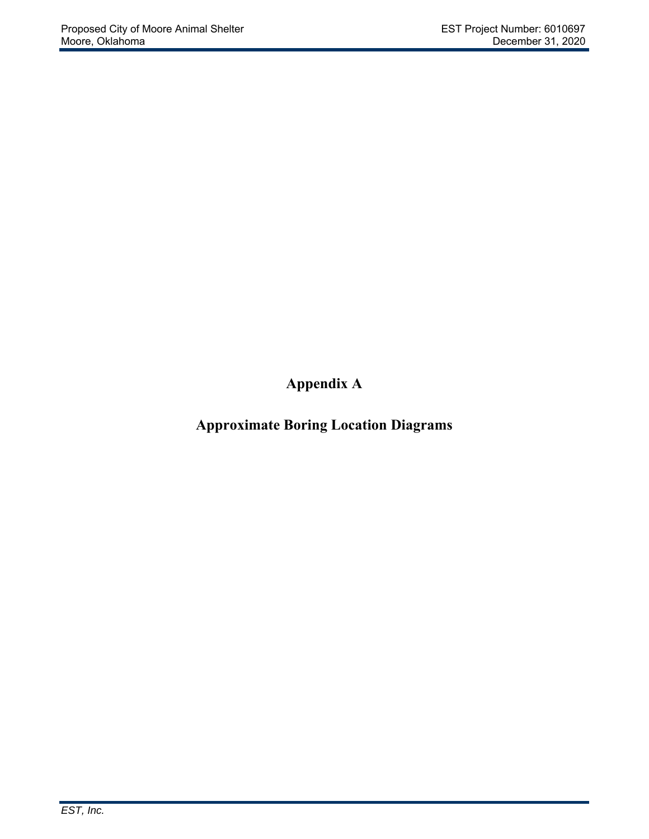**Appendix A** 

**Approximate Boring Location Diagrams**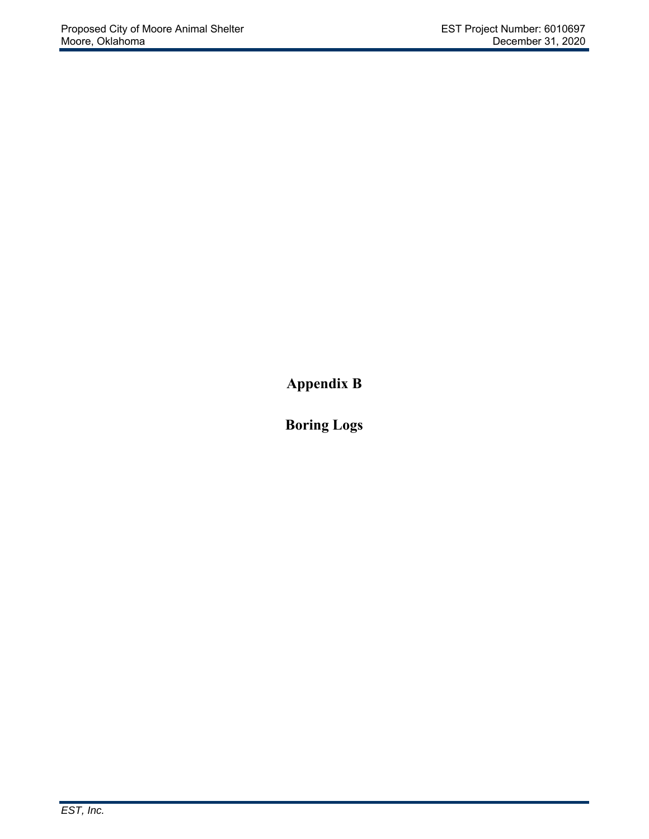**Appendix B** 

**Boring Logs**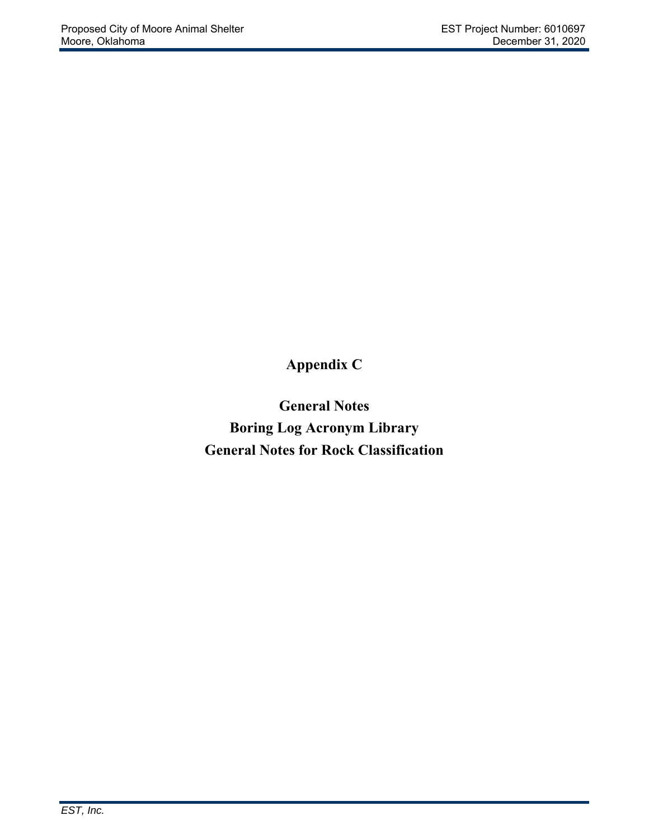**Appendix C** 

**General Notes Boring Log Acronym Library General Notes for Rock Classification**